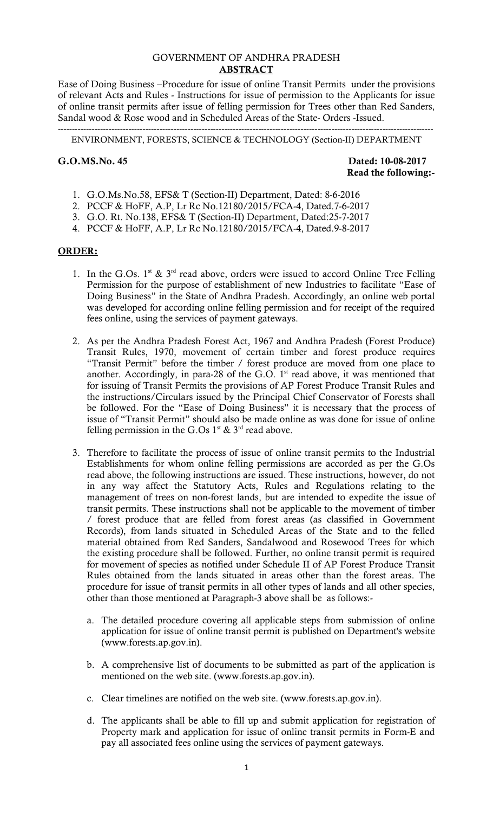#### GOVERNMENT OF ANDHRA PRADESH **ABSTRACT**

Ease of Doing Business –Procedure for issue of online Transit Permits under the provisions of relevant Acts and Rules - Instructions for issue of permission to the Applicants for issue of online transit permits after issue of felling permission for Trees other than Red Sanders, Sandal wood & Rose wood and in Scheduled Areas of the State- Orders -Issued.

------------------------------------------------------------------------------------------------------------------------------------- ENVIRONMENT, FORESTS, SCIENCE & TECHNOLOGY (Section-II) DEPARTMENT

**G.O.MS.No. 45 Dated: 10-08-2017 Read the following:-** 

- 1. G.O.Ms.No.58, EFS& T (Section-II) Department, Dated: 8-6-2016
- 2. PCCF & HoFF, A.P, Lr Rc No.12180/2015/FCA-4, Dated.7-6-2017
- 3. G.O. Rt. No.138, EFS& T (Section-II) Department, Dated:25-7-2017
- 4. PCCF & HoFF, A.P, Lr Rc No.12180/2015/FCA-4, Dated.9-8-2017

#### **ORDER:**

- 1. In the G.Os.  $1^{st}$  &  $3^{rd}$  read above, orders were issued to accord Online Tree Felling Permission for the purpose of establishment of new Industries to facilitate "Ease of Doing Business" in the State of Andhra Pradesh. Accordingly, an online web portal was developed for according online felling permission and for receipt of the required fees online, using the services of payment gateways.
- 2. As per the Andhra Pradesh Forest Act, 1967 and Andhra Pradesh (Forest Produce) Transit Rules, 1970, movement of certain timber and forest produce requires "Transit Permit" before the timber / forest produce are moved from one place to another. Accordingly, in para-28 of the G.O.  $1<sup>st</sup>$  read above, it was mentioned that for issuing of Transit Permits the provisions of AP Forest Produce Transit Rules and the instructions/Circulars issued by the Principal Chief Conservator of Forests shall be followed. For the "Ease of Doing Business" it is necessary that the process of issue of "Transit Permit" should also be made online as was done for issue of online felling permission in the G.Os  $1^{st}$  &  $3^{rd}$  read above.
- 3. Therefore to facilitate the process of issue of online transit permits to the Industrial Establishments for whom online felling permissions are accorded as per the G.Os read above, the following instructions are issued. These instructions, however, do not in any way affect the Statutory Acts, Rules and Regulations relating to the management of trees on non-forest lands, but are intended to expedite the issue of transit permits. These instructions shall not be applicable to the movement of timber / forest produce that are felled from forest areas (as classified in Government Records), from lands situated in Scheduled Areas of the State and to the felled material obtained from Red Sanders, Sandalwood and Rosewood Trees for which the existing procedure shall be followed. Further, no online transit permit is required for movement of species as notified under Schedule II of AP Forest Produce Transit Rules obtained from the lands situated in areas other than the forest areas. The procedure for issue of transit permits in all other types of lands and all other species, other than those mentioned at Paragraph-3 above shall be as follows:
	- a. The detailed procedure covering all applicable steps from submission of online application for issue of online transit permit is published on Department's website (www.forests.ap.gov.in).
	- b. A comprehensive list of documents to be submitted as part of the application is mentioned on the web site. (www.forests.ap.gov.in).
	- c. Clear timelines are notified on the web site. (www.forests.ap.gov.in).
	- d. The applicants shall be able to fill up and submit application for registration of Property mark and application for issue of online transit permits in Form-E and pay all associated fees online using the services of payment gateways.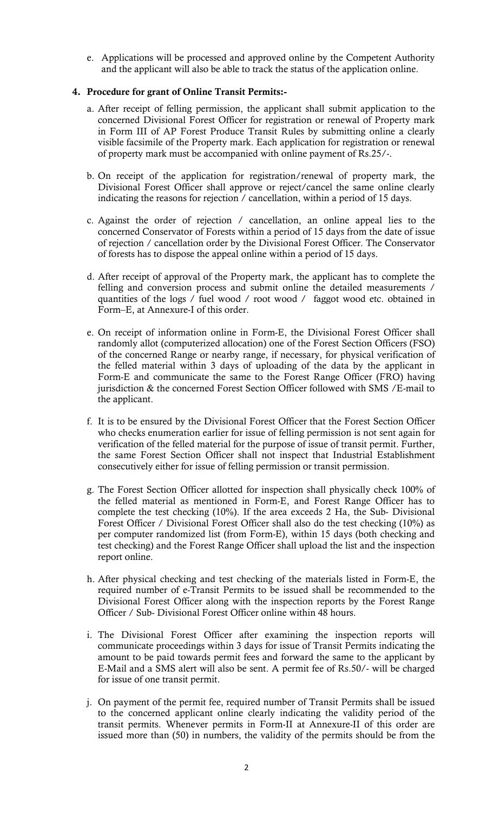e. Applications will be processed and approved online by the Competent Authority and the applicant will also be able to track the status of the application online.

## **4. Procedure for grant of Online Transit Permits:-**

- a. After receipt of felling permission, the applicant shall submit application to the concerned Divisional Forest Officer for registration or renewal of Property mark in Form III of AP Forest Produce Transit Rules by submitting online a clearly visible facsimile of the Property mark. Each application for registration or renewal of property mark must be accompanied with online payment of Rs.25/-.
- b. On receipt of the application for registration/renewal of property mark, the Divisional Forest Officer shall approve or reject/cancel the same online clearly indicating the reasons for rejection / cancellation, within a period of 15 days.
- c. Against the order of rejection / cancellation, an online appeal lies to the concerned Conservator of Forests within a period of 15 days from the date of issue of rejection / cancellation order by the Divisional Forest Officer. The Conservator of forests has to dispose the appeal online within a period of 15 days.
- d. After receipt of approval of the Property mark, the applicant has to complete the felling and conversion process and submit online the detailed measurements / quantities of the logs / fuel wood / root wood / faggot wood etc. obtained in Form–E, at Annexure-I of this order.
- e. On receipt of information online in Form-E, the Divisional Forest Officer shall randomly allot (computerized allocation) one of the Forest Section Officers (FSO) of the concerned Range or nearby range, if necessary, for physical verification of the felled material within 3 days of uploading of the data by the applicant in Form-E and communicate the same to the Forest Range Officer (FRO) having jurisdiction & the concerned Forest Section Officer followed with SMS /E-mail to the applicant.
- f. It is to be ensured by the Divisional Forest Officer that the Forest Section Officer who checks enumeration earlier for issue of felling permission is not sent again for verification of the felled material for the purpose of issue of transit permit. Further, the same Forest Section Officer shall not inspect that Industrial Establishment consecutively either for issue of felling permission or transit permission.
- g. The Forest Section Officer allotted for inspection shall physically check 100% of the felled material as mentioned in Form-E, and Forest Range Officer has to complete the test checking (10%). If the area exceeds 2 Ha, the Sub- Divisional Forest Officer / Divisional Forest Officer shall also do the test checking (10%) as per computer randomized list (from Form-E), within 15 days (both checking and test checking) and the Forest Range Officer shall upload the list and the inspection report online.
- h. After physical checking and test checking of the materials listed in Form-E, the required number of e-Transit Permits to be issued shall be recommended to the Divisional Forest Officer along with the inspection reports by the Forest Range Officer / Sub- Divisional Forest Officer online within 48 hours.
- i. The Divisional Forest Officer after examining the inspection reports will communicate proceedings within 3 days for issue of Transit Permits indicating the amount to be paid towards permit fees and forward the same to the applicant by E-Mail and a SMS alert will also be sent. A permit fee of Rs.50/- will be charged for issue of one transit permit.
- j. On payment of the permit fee, required number of Transit Permits shall be issued to the concerned applicant online clearly indicating the validity period of the transit permits. Whenever permits in Form-II at Annexure-II of this order are issued more than (50) in numbers, the validity of the permits should be from the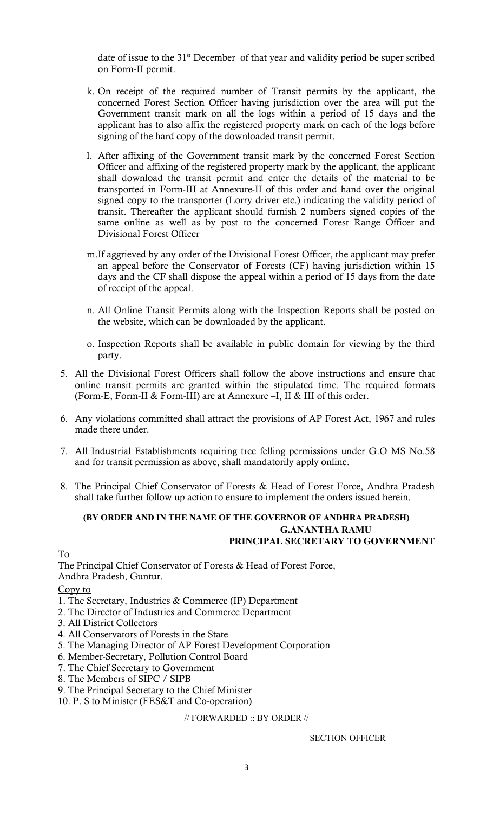date of issue to the  $31<sup>st</sup>$  December of that year and validity period be super scribed on Form-II permit.

- k. On receipt of the required number of Transit permits by the applicant, the concerned Forest Section Officer having jurisdiction over the area will put the Government transit mark on all the logs within a period of 15 days and the applicant has to also affix the registered property mark on each of the logs before signing of the hard copy of the downloaded transit permit.
- l. After affixing of the Government transit mark by the concerned Forest Section Officer and affixing of the registered property mark by the applicant, the applicant shall download the transit permit and enter the details of the material to be transported in Form-III at Annexure-II of this order and hand over the original signed copy to the transporter (Lorry driver etc.) indicating the validity period of transit. Thereafter the applicant should furnish 2 numbers signed copies of the same online as well as by post to the concerned Forest Range Officer and Divisional Forest Officer
- m.If aggrieved by any order of the Divisional Forest Officer, the applicant may prefer an appeal before the Conservator of Forests (CF) having jurisdiction within 15 days and the CF shall dispose the appeal within a period of 15 days from the date of receipt of the appeal.
- n. All Online Transit Permits along with the Inspection Reports shall be posted on the website, which can be downloaded by the applicant.
- o. Inspection Reports shall be available in public domain for viewing by the third party.
- 5. All the Divisional Forest Officers shall follow the above instructions and ensure that online transit permits are granted within the stipulated time. The required formats (Form-E, Form-II & Form-III) are at Annexure –I, II & III of this order.
- 6. Any violations committed shall attract the provisions of AP Forest Act, 1967 and rules made there under.
- 7. All Industrial Establishments requiring tree felling permissions under G.O MS No.58 and for transit permission as above, shall mandatorily apply online.
- 8. The Principal Chief Conservator of Forests & Head of Forest Force, Andhra Pradesh shall take further follow up action to ensure to implement the orders issued herein.

#### **(BY ORDER AND IN THE NAME OF THE GOVERNOR OF ANDHRA PRADESH) G.ANANTHA RAMU PRINCIPAL SECRETARY TO GOVERNMENT**

To

The Principal Chief Conservator of Forests & Head of Forest Force, Andhra Pradesh, Guntur.

Copy to

1. The Secretary, Industries & Commerce (IP) Department

- 2. The Director of Industries and Commerce Department
- 3. All District Collectors
- 4. All Conservators of Forests in the State
- 5. The Managing Director of AP Forest Development Corporation
- 6. Member-Secretary, Pollution Control Board
- 7. The Chief Secretary to Government
- 8. The Members of SIPC / SIPB
- 9. The Principal Secretary to the Chief Minister
- 10. P. S to Minister (FES&T and Co-operation)

// FORWARDED :: BY ORDER //

SECTION OFFICER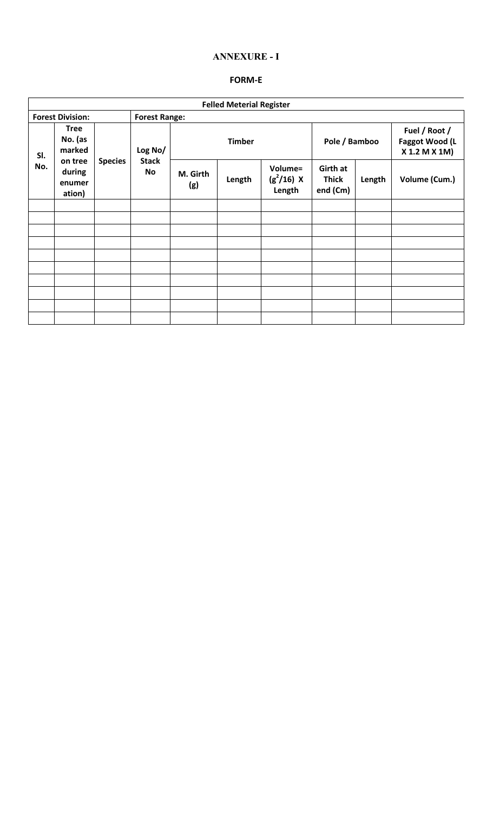## **ANNEXURE - I**

## **FORM-E**

| <b>Felled Meterial Register</b> |                                                                           |                |                               |                 |        |                                   |                                             |        |                                                  |
|---------------------------------|---------------------------------------------------------------------------|----------------|-------------------------------|-----------------|--------|-----------------------------------|---------------------------------------------|--------|--------------------------------------------------|
| <b>Forest Division:</b>         |                                                                           |                | <b>Forest Range:</b>          |                 |        |                                   |                                             |        |                                                  |
| SI.<br>No.                      | <b>Tree</b><br>No. (as<br>marked<br>on tree<br>during<br>enumer<br>ation) | <b>Species</b> | Log No/<br><b>Stack</b><br>No | <b>Timber</b>   |        |                                   | Pole / Bamboo                               |        | Fuel / Root /<br>Faggot Wood (L<br>X 1.2 M X 1M) |
|                                 |                                                                           |                |                               | M. Girth<br>(g) | Length | Volume=<br>$(g^2/16)$ X<br>Length | <b>Girth at</b><br><b>Thick</b><br>end (Cm) | Length | Volume (Cum.)                                    |
|                                 |                                                                           |                |                               |                 |        |                                   |                                             |        |                                                  |
|                                 |                                                                           |                |                               |                 |        |                                   |                                             |        |                                                  |
|                                 |                                                                           |                |                               |                 |        |                                   |                                             |        |                                                  |
|                                 |                                                                           |                |                               |                 |        |                                   |                                             |        |                                                  |
|                                 |                                                                           |                |                               |                 |        |                                   |                                             |        |                                                  |
|                                 |                                                                           |                |                               |                 |        |                                   |                                             |        |                                                  |
|                                 |                                                                           |                |                               |                 |        |                                   |                                             |        |                                                  |
|                                 |                                                                           |                |                               |                 |        |                                   |                                             |        |                                                  |
|                                 |                                                                           |                |                               |                 |        |                                   |                                             |        |                                                  |
|                                 |                                                                           |                |                               |                 |        |                                   |                                             |        |                                                  |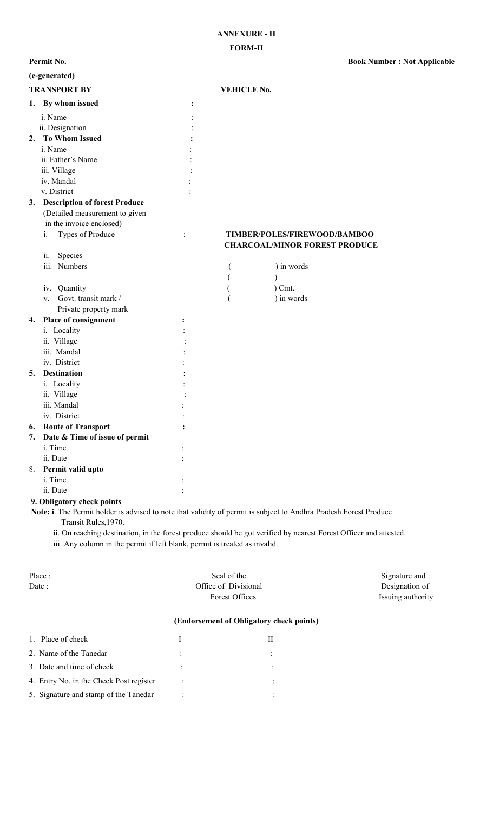**Permit No. Book Number : Not Applicable** 

|    | (e-generated)                        |   |                    |                                                                      |
|----|--------------------------------------|---|--------------------|----------------------------------------------------------------------|
|    | <b>TRANSPORT BY</b>                  |   | <b>VEHICLE No.</b> |                                                                      |
| 1. | By whom issued                       | : |                    |                                                                      |
|    | i. Name                              |   |                    |                                                                      |
|    | ii. Designation                      |   |                    |                                                                      |
| 2. | <b>To Whom Issued</b>                |   |                    |                                                                      |
|    | i. Name                              |   |                    |                                                                      |
|    | ii. Father's Name                    |   |                    |                                                                      |
|    | iii. Village                         |   |                    |                                                                      |
|    | iv. Mandal                           |   |                    |                                                                      |
|    | v. District                          |   |                    |                                                                      |
| 3. | <b>Description of forest Produce</b> |   |                    |                                                                      |
|    | (Detailed measurement to given       |   |                    |                                                                      |
|    | in the invoice enclosed)             |   |                    |                                                                      |
|    | Types of Produce<br>i.               |   |                    | TIMBER/POLES/FIREWOOD/BAMBOO<br><b>CHARCOAL/MINOR FOREST PRODUCE</b> |
|    | ii.<br>Species                       |   |                    |                                                                      |
|    | iii. Numbers                         |   |                    | ) in words                                                           |
|    |                                      |   |                    |                                                                      |
|    | Quantity<br>iv.                      |   |                    | $)$ Cmt.                                                             |
|    | Govt. transit mark /<br>V.           |   |                    | ) in words                                                           |
|    | Private property mark                |   |                    |                                                                      |
| 4. | Place of consignment                 |   |                    |                                                                      |
|    | i. Locality                          |   |                    |                                                                      |
|    | ii. Village                          |   |                    |                                                                      |
|    | iii. Mandal                          |   |                    |                                                                      |
|    | iv. District                         |   |                    |                                                                      |
| 5. | <b>Destination</b>                   |   |                    |                                                                      |
|    | i. Locality                          |   |                    |                                                                      |
|    | ii. Village                          |   |                    |                                                                      |
|    | iii. Mandal                          |   |                    |                                                                      |
|    | iv. District                         |   |                    |                                                                      |
| 6. | <b>Route of Transport</b>            |   |                    |                                                                      |
| 7. | Date & Time of issue of permit       |   |                    |                                                                      |
|    | i. Time                              |   |                    |                                                                      |
|    | ii. Date                             |   |                    |                                                                      |
| 8. | Permit valid upto                    |   |                    |                                                                      |
|    | i. Time                              |   |                    |                                                                      |
|    | ii. Date                             |   |                    |                                                                      |

#### **9. Obligatory check points**

 **Note: i**. The Permit holder is advised to note that validity of permit is subject to Andhra Pradesh Forest Produce Transit Rules,1970.

ii. On reaching destination, in the forest produce should be got verified by nearest Forest Officer and attested.

iii. Any column in the permit if left blank, permit is treated as invalid.

| Place:<br>Date:                          |           | Seal of the<br>Office of Divisional<br><b>Forest Offices</b> | Signature and<br>Designation of<br>Issuing authority |  |  |  |  |  |
|------------------------------------------|-----------|--------------------------------------------------------------|------------------------------------------------------|--|--|--|--|--|
| (Endorsement of Obligatory check points) |           |                                                              |                                                      |  |  |  |  |  |
| 1. Place of check                        | I         | П                                                            |                                                      |  |  |  |  |  |
| 2. Name of the Tanedar                   |           | $\ddot{\cdot}$                                               |                                                      |  |  |  |  |  |
| 3. Date and time of check                |           | $\ddot{\cdot}$                                               |                                                      |  |  |  |  |  |
| 4. Entry No. in the Check Post register  | $\bullet$ |                                                              |                                                      |  |  |  |  |  |
| 5. Signature and stamp of the Tanedar    |           | ٠                                                            |                                                      |  |  |  |  |  |